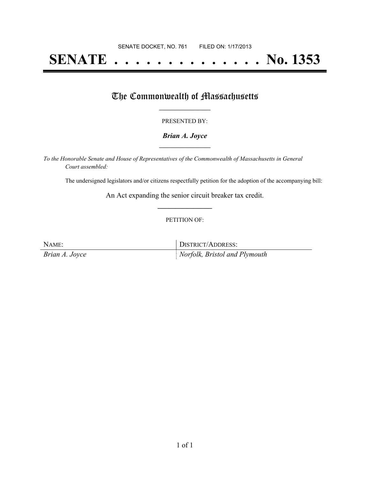# **SENATE . . . . . . . . . . . . . . No. 1353**

### The Commonwealth of Massachusetts

#### PRESENTED BY:

#### *Brian A. Joyce* **\_\_\_\_\_\_\_\_\_\_\_\_\_\_\_\_\_**

*To the Honorable Senate and House of Representatives of the Commonwealth of Massachusetts in General Court assembled:*

The undersigned legislators and/or citizens respectfully petition for the adoption of the accompanying bill:

An Act expanding the senior circuit breaker tax credit. **\_\_\_\_\_\_\_\_\_\_\_\_\_\_\_**

#### PETITION OF:

NAME: DISTRICT/ADDRESS: *Brian A. Joyce Norfolk, Bristol and Plymouth*